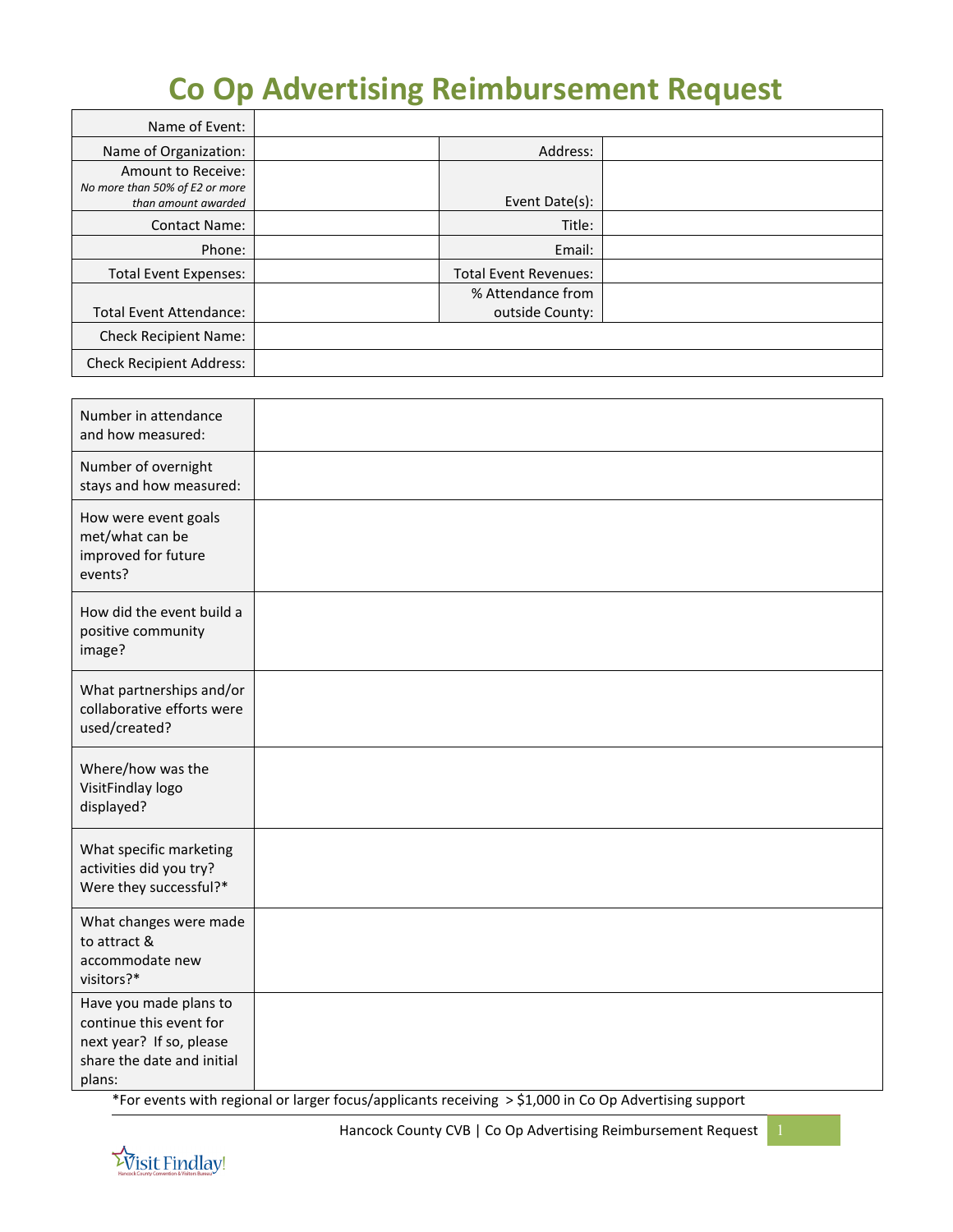# **Co Op Advertising Reimbursement Request**

| Name of Event:                                                              |                                      |  |
|-----------------------------------------------------------------------------|--------------------------------------|--|
| Name of Organization:                                                       | Address:                             |  |
| Amount to Receive:<br>No more than 50% of E2 or more<br>than amount awarded | Event Date(s):                       |  |
| <b>Contact Name:</b>                                                        | Title:                               |  |
| Phone:                                                                      | Email:                               |  |
| <b>Total Event Expenses:</b>                                                | <b>Total Event Revenues:</b>         |  |
| <b>Total Event Attendance:</b>                                              | % Attendance from<br>outside County: |  |
| <b>Check Recipient Name:</b>                                                |                                      |  |
| <b>Check Recipient Address:</b>                                             |                                      |  |

| Number in attendance<br>and how measured:                                                                             |  |
|-----------------------------------------------------------------------------------------------------------------------|--|
| Number of overnight<br>stays and how measured:                                                                        |  |
| How were event goals<br>met/what can be<br>improved for future<br>events?                                             |  |
| How did the event build a<br>positive community<br>image?                                                             |  |
| What partnerships and/or<br>collaborative efforts were<br>used/created?                                               |  |
| Where/how was the<br>VisitFindlay logo<br>displayed?                                                                  |  |
| What specific marketing<br>activities did you try?<br>Were they successful?*                                          |  |
| What changes were made<br>to attract &<br>accommodate new<br>visitors?*                                               |  |
| Have you made plans to<br>continue this event for<br>next year? If so, please<br>share the date and initial<br>plans: |  |

\*For events with regional or larger focus/applicants receiving > \$1,000 in Co Op Advertising support

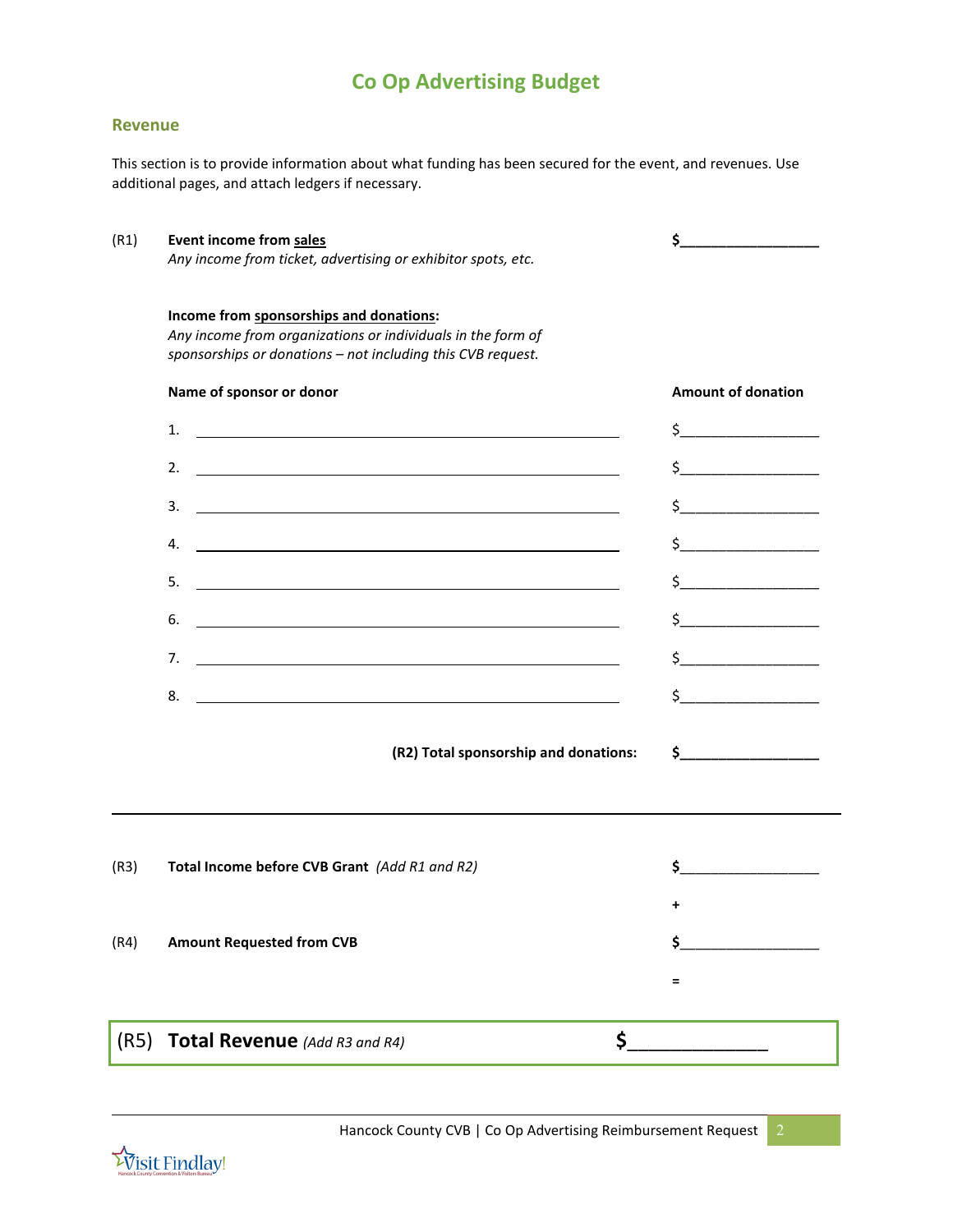## **Co Op Advertising Budget**

#### **Revenue**

This section is to provide information about what funding has been secured for the event, and revenues. Use additional pages, and attach ledgers if necessary.

| (R1) | Event income from sales<br>Any income from ticket, advertising or exhibitor spots, etc.                                                                               | \$.                                                                                                                                                                                                                                                                                                                                                                                                                                                                                                                                                                                                                                                                                                                                                 |  |
|------|-----------------------------------------------------------------------------------------------------------------------------------------------------------------------|-----------------------------------------------------------------------------------------------------------------------------------------------------------------------------------------------------------------------------------------------------------------------------------------------------------------------------------------------------------------------------------------------------------------------------------------------------------------------------------------------------------------------------------------------------------------------------------------------------------------------------------------------------------------------------------------------------------------------------------------------------|--|
|      | Income from sponsorships and donations:<br>Any income from organizations or individuals in the form of<br>sponsorships or donations - not including this CVB request. |                                                                                                                                                                                                                                                                                                                                                                                                                                                                                                                                                                                                                                                                                                                                                     |  |
|      | Name of sponsor or donor                                                                                                                                              | <b>Amount of donation</b>                                                                                                                                                                                                                                                                                                                                                                                                                                                                                                                                                                                                                                                                                                                           |  |
|      | 1.<br><u> 1989 - Johann Barn, mars ann an t-Amhainn an t-Amhainn an t-Amhainn an t-Amhainn an t-Amhainn an t-Amhainn an</u>                                           | $\begin{array}{c} \n \uparrow \text{S} \quad \text{S} \quad \text{S} \quad \text{S} \quad \text{S} \quad \text{S} \quad \text{S} \quad \text{S} \quad \text{S} \quad \text{S} \quad \text{S} \quad \text{S} \quad \text{S} \quad \text{S} \quad \text{S} \quad \text{S} \quad \text{S} \quad \text{S} \quad \text{S} \quad \text{S} \quad \text{S} \quad \text{S} \quad \text{S} \quad \text{S} \quad \text{S} \quad \text{S} \quad \text{S} \quad \text{S} \quad \text{S} \quad \text{S}$                                                                                                                                                                                                                                                          |  |
|      | 2.<br><u> 1989 - Johann Stoff, deutscher Stoffen und der Stoffen und der Stoffen und der Stoffen und der Stoffen und der</u>                                          | $\frac{1}{2}$                                                                                                                                                                                                                                                                                                                                                                                                                                                                                                                                                                                                                                                                                                                                       |  |
|      | 3.<br><u> 1989 - Johann Stein, marwolaethau a bhann an t-Amhain an t-Amhain an t-Amhain an t-Amhain an t-Amhain an t-A</u>                                            | $\frac{1}{2}$                                                                                                                                                                                                                                                                                                                                                                                                                                                                                                                                                                                                                                                                                                                                       |  |
|      | 4.                                                                                                                                                                    | $\frac{1}{2}$                                                                                                                                                                                                                                                                                                                                                                                                                                                                                                                                                                                                                                                                                                                                       |  |
|      | 5.                                                                                                                                                                    | $\frac{1}{2}$                                                                                                                                                                                                                                                                                                                                                                                                                                                                                                                                                                                                                                                                                                                                       |  |
|      | 6.                                                                                                                                                                    | $\begin{array}{c}\n\uparrow \\ \downarrow \\ \hline\n\end{array}$                                                                                                                                                                                                                                                                                                                                                                                                                                                                                                                                                                                                                                                                                   |  |
|      | 7.<br><u> 1989 - Johann Barbara, martxa alemaniar argametar a contra a contra a contra a contra a contra a contra a co</u>                                            | $\circ$                                                                                                                                                                                                                                                                                                                                                                                                                                                                                                                                                                                                                                                                                                                                             |  |
|      | <u> 1980 - Johann Barbara, martxa alemaniar arg</u><br>8.                                                                                                             | $\begin{array}{c} \n \uparrow \quad \quad \quad \downarrow \quad \quad \quad \quad \downarrow \quad \quad \quad \downarrow \quad \quad \quad \downarrow \quad \quad \downarrow \quad \quad \downarrow \quad \quad \downarrow \quad \quad \downarrow \quad \quad \downarrow \quad \quad \downarrow \quad \downarrow \quad \downarrow \quad \downarrow \quad \downarrow \quad \downarrow \quad \downarrow \quad \downarrow \quad \downarrow \quad \downarrow \quad \downarrow \quad \downarrow \quad \downarrow \quad \downarrow \quad \downarrow \quad \downarrow \quad \downarrow \quad \downarrow \quad \downarrow \quad \downarrow \quad \downarrow \quad \downarrow \quad \downarrow \quad \downarrow \quad \downarrow \quad \downarrow \quad \$ |  |
|      |                                                                                                                                                                       | $\frac{1}{2}$<br>(R2) Total sponsorship and donations:                                                                                                                                                                                                                                                                                                                                                                                                                                                                                                                                                                                                                                                                                              |  |
| (R3) | Total Income before CVB Grant (Add R1 and R2)                                                                                                                         | \$                                                                                                                                                                                                                                                                                                                                                                                                                                                                                                                                                                                                                                                                                                                                                  |  |
|      |                                                                                                                                                                       | +                                                                                                                                                                                                                                                                                                                                                                                                                                                                                                                                                                                                                                                                                                                                                   |  |
| (R4) | <b>Amount Requested from CVB</b>                                                                                                                                      | \$                                                                                                                                                                                                                                                                                                                                                                                                                                                                                                                                                                                                                                                                                                                                                  |  |
|      |                                                                                                                                                                       | $\qquad \qquad =\qquad \qquad$                                                                                                                                                                                                                                                                                                                                                                                                                                                                                                                                                                                                                                                                                                                      |  |
|      | (R5) Total Revenue (Add R3 and R4)                                                                                                                                    | \$                                                                                                                                                                                                                                                                                                                                                                                                                                                                                                                                                                                                                                                                                                                                                  |  |

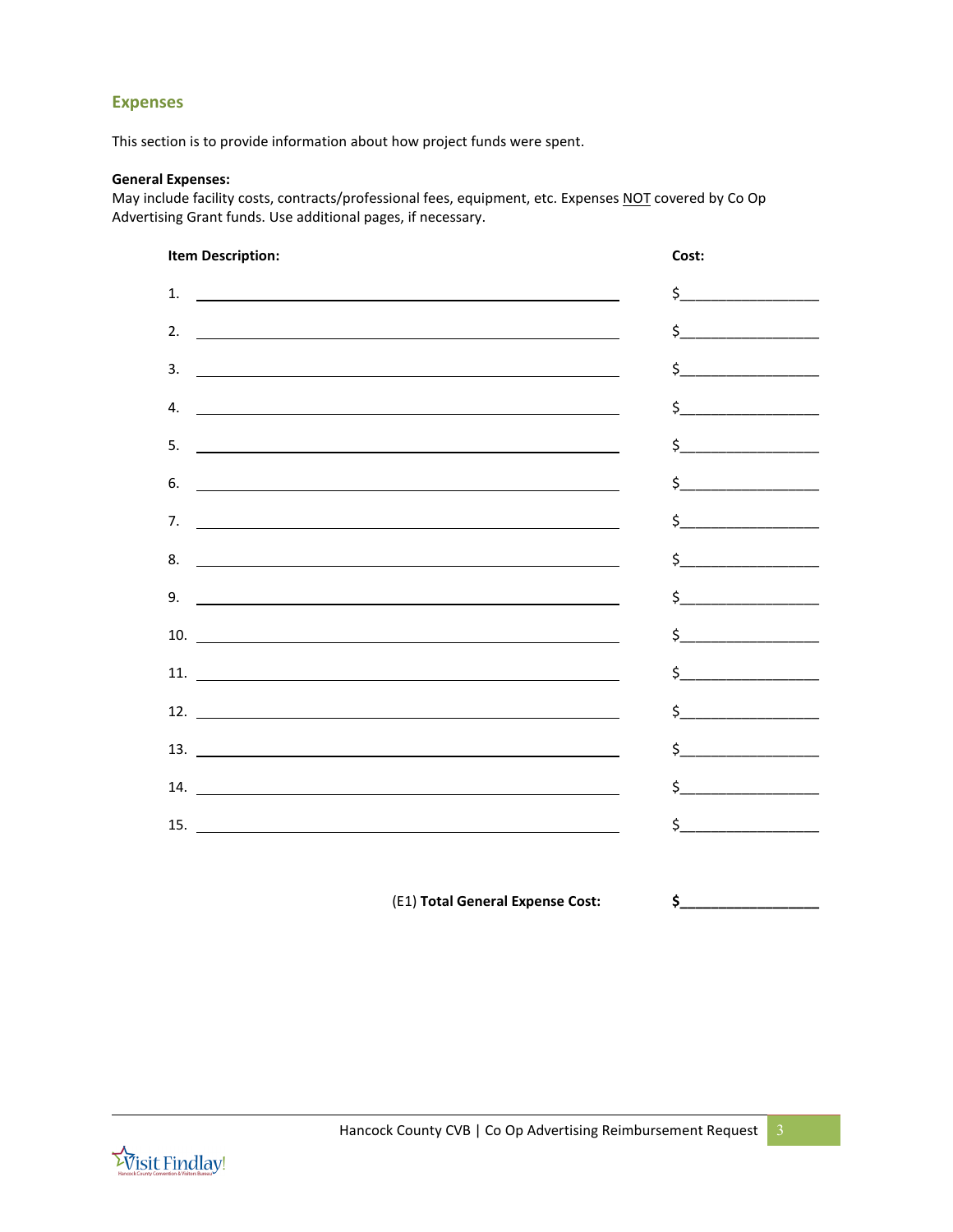### **Expenses**

This section is to provide information about how project funds were spent.

#### **General Expenses:**

May include facility costs, contracts/professional fees, equipment, etc. Expenses NOT covered by Co Op Advertising Grant funds. Use additional pages, if necessary.

| <b>Item Description:</b>                                                                                                    | Cost:                                                                                                                                                                                                                                                                                                                                                                                                                                                                                                                                                                                                                                                                                                                                               |
|-----------------------------------------------------------------------------------------------------------------------------|-----------------------------------------------------------------------------------------------------------------------------------------------------------------------------------------------------------------------------------------------------------------------------------------------------------------------------------------------------------------------------------------------------------------------------------------------------------------------------------------------------------------------------------------------------------------------------------------------------------------------------------------------------------------------------------------------------------------------------------------------------|
| 1.<br><u> 1989 - Johann Barbara, martin amerikan basal dan berasal dan berasal dalam basal dan berasal dan berasal dan</u>  | $\frac{1}{2}$                                                                                                                                                                                                                                                                                                                                                                                                                                                                                                                                                                                                                                                                                                                                       |
| 2.                                                                                                                          | $\begin{array}{c} \n \uparrow \quad \quad \quad \downarrow \quad \quad \quad \quad \downarrow \quad \quad \quad \downarrow \quad \quad \quad \downarrow \quad \quad \downarrow \quad \quad \downarrow \quad \quad \downarrow \quad \quad \downarrow \quad \quad \downarrow \quad \quad \downarrow \quad \downarrow \quad \downarrow \quad \downarrow \quad \downarrow \quad \downarrow \quad \downarrow \quad \downarrow \quad \downarrow \quad \downarrow \quad \downarrow \quad \downarrow \quad \downarrow \quad \downarrow \quad \downarrow \quad \downarrow \quad \downarrow \quad \downarrow \quad \downarrow \quad \downarrow \quad \downarrow \quad \downarrow \quad \downarrow \quad \downarrow \quad \downarrow \quad \downarrow \quad \$ |
| 3.<br><u> 1989 - Andrea Stadt Britain, amerikansk politiker (</u>                                                           | $\frac{1}{2}$                                                                                                                                                                                                                                                                                                                                                                                                                                                                                                                                                                                                                                                                                                                                       |
| 4.                                                                                                                          | $\begin{array}{c} \n \uparrow \text{} \quad \text{} \quad \text{} \quad \text{} \quad \text{} \quad \text{} \quad \text{} \quad \text{} \quad \text{} \quad \text{} \quad \text{} \quad \text{} \quad \text{} \quad \text{} \quad \text{} \quad \text{} \quad \text{} \quad \text{} \quad \text{} \quad \text{} \quad \text{} \quad \text{} \quad \text{} \quad \text{} \quad \text{} \quad \text{} \quad \text{} \quad \text{} \quad \text{} \quad \text{}$                                                                                                                                                                                                                                                                                        |
| 5.<br><u> 1989 - Jan Barbara de Santo III e al Indonesia de la contrada de la contrada de la contrada de la contrada de</u> | $\frac{1}{2}$                                                                                                                                                                                                                                                                                                                                                                                                                                                                                                                                                                                                                                                                                                                                       |
| 6.                                                                                                                          | $\begin{picture}(20,20) \put(0,0){\line(1,0){10}} \put(15,0){\line(1,0){10}} \put(15,0){\line(1,0){10}} \put(15,0){\line(1,0){10}} \put(15,0){\line(1,0){10}} \put(15,0){\line(1,0){10}} \put(15,0){\line(1,0){10}} \put(15,0){\line(1,0){10}} \put(15,0){\line(1,0){10}} \put(15,0){\line(1,0){10}} \put(15,0){\line(1,0){10}} \put(15,0){\line(1$                                                                                                                                                                                                                                                                                                                                                                                                 |
| 7.<br><u> 1989 - Johann Stoff, amerikansk politiker (d. 1989)</u>                                                           | $\begin{picture}(20,10) \put(0,0){\line(1,0){10}} \put(15,0){\line(1,0){10}} \put(15,0){\line(1,0){10}} \put(15,0){\line(1,0){10}} \put(15,0){\line(1,0){10}} \put(15,0){\line(1,0){10}} \put(15,0){\line(1,0){10}} \put(15,0){\line(1,0){10}} \put(15,0){\line(1,0){10}} \put(15,0){\line(1,0){10}} \put(15,0){\line(1,0){10}} \put(15,0){\line(1$                                                                                                                                                                                                                                                                                                                                                                                                 |
| 8.<br><u> 1989 - Johann Barbara, martin amerikan basar dan berasal dan berasal dalam basar dalam basar dalam basar dala</u> | $\begin{array}{c c} \n5 & \phantom{1000} & \phantom{1000} & \phantom{1000} & \phantom{1000} & \phantom{1000} & \phantom{1000} & \phantom{1000} & \phantom{1000} & \phantom{1000} & \phantom{1000} & \phantom{1000} & \phantom{1000} & \phantom{1000} & \phantom{1000} & \phantom{1000} & \phantom{1000} & \phantom{1000} & \phantom{1000} & \phantom{1000} & \phantom{1000} & \phantom{100$                                                                                                                                                                                                                                                                                                                                                         |
| 9.                                                                                                                          | $\begin{picture}(20,10) \put(0,0){\line(1,0){10}} \put(15,0){\line(1,0){10}} \put(15,0){\line(1,0){10}} \put(15,0){\line(1,0){10}} \put(15,0){\line(1,0){10}} \put(15,0){\line(1,0){10}} \put(15,0){\line(1,0){10}} \put(15,0){\line(1,0){10}} \put(15,0){\line(1,0){10}} \put(15,0){\line(1,0){10}} \put(15,0){\line(1,0){10}} \put(15,0){\line(1$                                                                                                                                                                                                                                                                                                                                                                                                 |
| $\begin{tabular}{c} 10. \end{tabular}$                                                                                      | $\begin{array}{c} \n \uparrow \text{S} \quad \text{S} \quad \text{S} \quad \text{S} \quad \text{S} \quad \text{S} \quad \text{S} \quad \text{S} \quad \text{S} \quad \text{S} \quad \text{S} \quad \text{S} \quad \text{S} \quad \text{S} \quad \text{S} \quad \text{S} \quad \text{S} \quad \text{S} \quad \text{S} \quad \text{S} \quad \text{S} \quad \text{S} \quad \text{S} \quad \text{S} \quad \text{S} \quad \text{S} \quad \text{S} \quad \text{S} \quad \text{S} \quad \text{S}$                                                                                                                                                                                                                                                          |
|                                                                                                                             | $\begin{picture}(20,10) \put(0,0){\line(1,0){10}} \put(15,0){\line(1,0){10}} \put(15,0){\line(1,0){10}} \put(15,0){\line(1,0){10}} \put(15,0){\line(1,0){10}} \put(15,0){\line(1,0){10}} \put(15,0){\line(1,0){10}} \put(15,0){\line(1,0){10}} \put(15,0){\line(1,0){10}} \put(15,0){\line(1,0){10}} \put(15,0){\line(1,0){10}} \put(15,0){\line(1$                                                                                                                                                                                                                                                                                                                                                                                                 |
|                                                                                                                             | $\frac{1}{2}$                                                                                                                                                                                                                                                                                                                                                                                                                                                                                                                                                                                                                                                                                                                                       |
|                                                                                                                             | $\frac{1}{2}$                                                                                                                                                                                                                                                                                                                                                                                                                                                                                                                                                                                                                                                                                                                                       |
|                                                                                                                             | $\begin{picture}(20,10) \put(0,0){\line(1,0){10}} \put(15,0){\line(1,0){10}} \put(15,0){\line(1,0){10}} \put(15,0){\line(1,0){10}} \put(15,0){\line(1,0){10}} \put(15,0){\line(1,0){10}} \put(15,0){\line(1,0){10}} \put(15,0){\line(1,0){10}} \put(15,0){\line(1,0){10}} \put(15,0){\line(1,0){10}} \put(15,0){\line(1,0){10}} \put(15,0){\line(1$                                                                                                                                                                                                                                                                                                                                                                                                 |
|                                                                                                                             | $\begin{picture}(20,10) \put(0,0){\line(1,0){10}} \put(15,0){\line(1,0){10}} \put(15,0){\line(1,0){10}} \put(15,0){\line(1,0){10}} \put(15,0){\line(1,0){10}} \put(15,0){\line(1,0){10}} \put(15,0){\line(1,0){10}} \put(15,0){\line(1,0){10}} \put(15,0){\line(1,0){10}} \put(15,0){\line(1,0){10}} \put(15,0){\line(1,0){10}} \put(15,0){\line(1$                                                                                                                                                                                                                                                                                                                                                                                                 |
|                                                                                                                             |                                                                                                                                                                                                                                                                                                                                                                                                                                                                                                                                                                                                                                                                                                                                                     |
|                                                                                                                             |                                                                                                                                                                                                                                                                                                                                                                                                                                                                                                                                                                                                                                                                                                                                                     |

(E1) **Total General Expense Cost: \$\_\_\_\_\_\_\_\_\_\_\_\_\_\_\_\_\_\_**